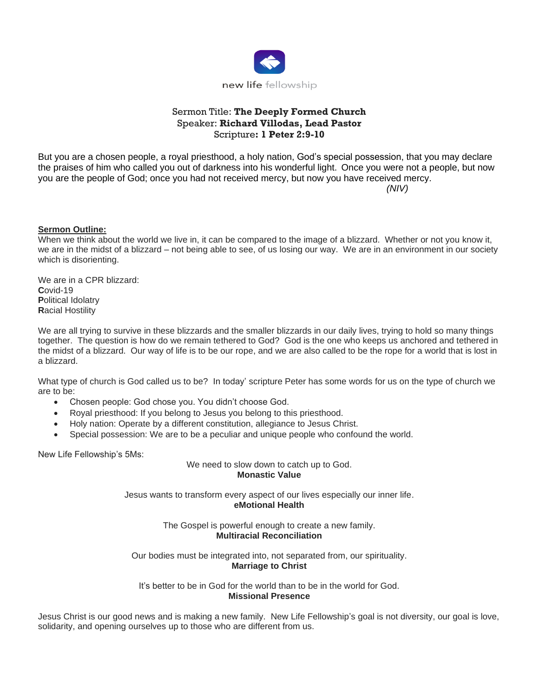

## Sermon Title: **The Deeply Formed Church** Speaker: **Richard Villodas, Lead Pastor** Scripture**: 1 Peter 2:9-10**

But you are a chosen people, a royal priesthood, a holy nation, God's special possession, that you may declare the praises of him who called you out of darkness into his wonderful light. Once you were not a people, but now you are the people of God; once you had not received mercy, but now you have received mercy.

*(NIV)*

## **Sermon Outline:**

When we think about the world we live in, it can be compared to the image of a blizzard. Whether or not you know it, we are in the midst of a blizzard – not being able to see, of us losing our way. We are in an environment in our society which is disorienting.

We are in a CPR blizzard: **C**ovid-19 **P**olitical Idolatry **R**acial Hostility

We are all trying to survive in these blizzards and the smaller blizzards in our daily lives, trying to hold so many things together. The question is how do we remain tethered to God? God is the one who keeps us anchored and tethered in the midst of a blizzard. Our way of life is to be our rope, and we are also called to be the rope for a world that is lost in a blizzard.

What type of church is God called us to be? In today' scripture Peter has some words for us on the type of church we are to be:

- Chosen people: God chose you. You didn't choose God.
- Royal priesthood: If you belong to Jesus you belong to this priesthood.
- Holy nation: Operate by a different constitution, allegiance to Jesus Christ.
- Special possession: We are to be a peculiar and unique people who confound the world.

New Life Fellowship's 5Ms:

We need to slow down to catch up to God. **Monastic Value**

Jesus wants to transform every aspect of our lives especially our inner life. **eMotional Health**

> The Gospel is powerful enough to create a new family. **Multiracial Reconciliation**

Our bodies must be integrated into, not separated from, our spirituality. **Marriage to Christ**

It's better to be in God for the world than to be in the world for God. **Missional Presence**

Jesus Christ is our good news and is making a new family. New Life Fellowship's goal is not diversity, our goal is love, solidarity, and opening ourselves up to those who are different from us.